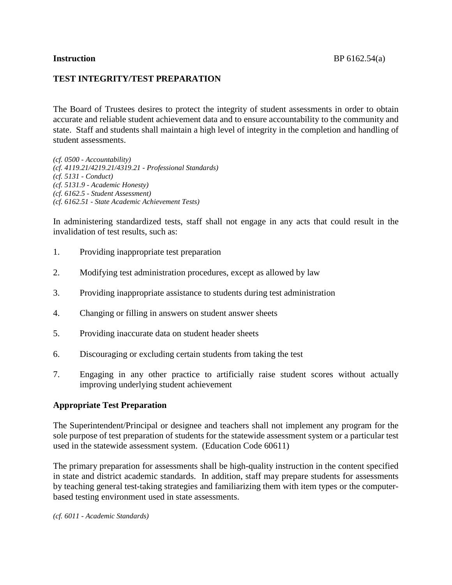# **TEST INTEGRITY/TEST PREPARATION**

The Board of Trustees desires to protect the integrity of student assessments in order to obtain accurate and reliable student achievement data and to ensure accountability to the community and state. Staff and students shall maintain a high level of integrity in the completion and handling of student assessments.

*(cf. 0500 - Accountability) (cf. 4119.21/4219.21/4319.21 - Professional Standards) (cf. 5131 - Conduct) (cf. 5131.9 - Academic Honesty) (cf. 6162.5 - Student Assessment) (cf. 6162.51 - State Academic Achievement Tests)*

In administering standardized tests, staff shall not engage in any acts that could result in the invalidation of test results, such as:

- 1. Providing inappropriate test preparation
- 2. Modifying test administration procedures, except as allowed by law
- 3. Providing inappropriate assistance to students during test administration
- 4. Changing or filling in answers on student answer sheets
- 5. Providing inaccurate data on student header sheets
- 6. Discouraging or excluding certain students from taking the test
- 7. Engaging in any other practice to artificially raise student scores without actually improving underlying student achievement

### **Appropriate Test Preparation**

The Superintendent/Principal or designee and teachers shall not implement any program for the sole purpose of test preparation of students for the statewide assessment system or a particular test used in the statewide assessment system. (Education Code 60611)

The primary preparation for assessments shall be high-quality instruction in the content specified in state and district academic standards. In addition, staff may prepare students for assessments by teaching general test-taking strategies and familiarizing them with item types or the computerbased testing environment used in state assessments.

*(cf. 6011 - Academic Standards)*